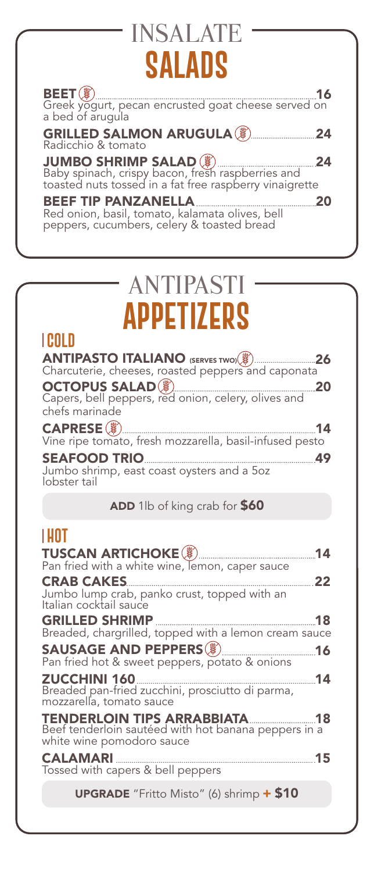## **SALADS** INSALATE

| <b>JUMBO SHRIMP SALAD</b> ( Baby spinach, crispy bacon, fresh raspberries and toasted nuts tossed in a fat free raspberry vinaigrette<br>24 |
|---------------------------------------------------------------------------------------------------------------------------------------------|
| <b>BEEF TIP PANZANELLA</b><br>Red onion, basil, tomato, kalamata olives, bell<br>peppers, cucumbers, celery & toasted bread                 |

# ANTIPASTI **Appetizers**

### **COLD**

| Charcuterie, cheeses, roasted peppers and caponata                                                                      |
|-------------------------------------------------------------------------------------------------------------------------|
| <b>OCTOPUS SALAD</b> <sup>2</sup> (2014)<br>Capers, bell peppers, red onion, celery, olives and<br>20<br>chefs marinade |
| 14<br>Vine ripe tomato, fresh mozzarella, basil-infused pesto                                                           |
| SEAFOOD TRIO<br>Jumbo shrimp, east coast oysters and a 5oz                                                              |

lobster tail

ADD 1lb of king crab for \$60

### **HOT**

| .                                                                                                                           |
|-----------------------------------------------------------------------------------------------------------------------------|
| 14<br>Pan fried with a white wine, lemon, caper sauce                                                                       |
| 22<br>Jumbo lump crab, panko crust, topped with an<br>Italian cocktail sauce                                                |
| Breaded, chargrilled, topped with a lemon cream sauce                                                                       |
| Pan fried hot & sweet peppers, potato & onions                                                                              |
| $\frac{1}{2}$ 14<br>ZUCCHINI 160<br>Breaded pan-fried zucchini, prosciutto di parma,<br>mozzarella, tomato sauce            |
| <b>TENDERLOIN TIPS ARRABBIATA [18]</b><br>Beef tenderloin sautéed with hot banana peppers in a<br>white wine pomodoro sauce |
| <b>CALAMARI</b><br>Tossed with capers & bell peppers                                                                        |
| <b>UPGRADE</b> "Fritto Misto" (6) shrimp + \$10                                                                             |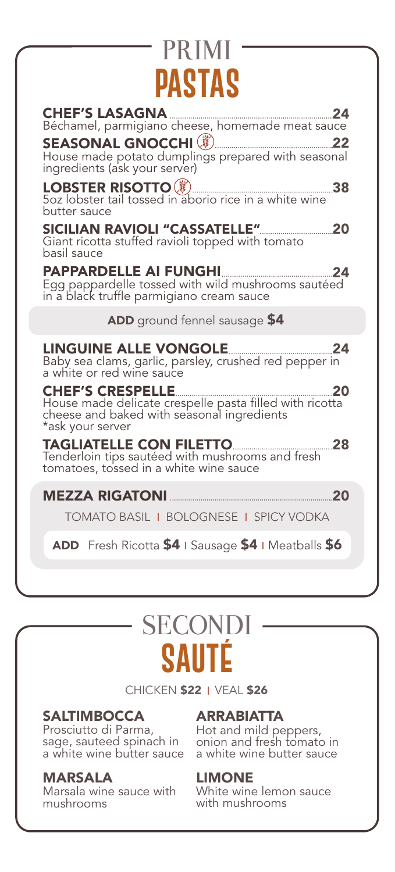### **PASTAS** PRIMI

| House made potato dumplings prepared with seasonal<br>ingredients (ask your server)                                                                               |
|-------------------------------------------------------------------------------------------------------------------------------------------------------------------|
| <b>LOBSTER RISOTTO</b> ( $\bullet$ ) <b>Example 2018</b><br>Soz lobster tail tossed in aborio rice in a white wine<br>butter sauce                                |
| Giant ricotta stuffed ravioli topped with tomato<br>basil sauce                                                                                                   |
|                                                                                                                                                                   |
| ADD ground fennel sausage \$4                                                                                                                                     |
|                                                                                                                                                                   |
| <b>CHEF'S CRESPELLE</b><br>$\sim$ 20<br>House made delicate crespelle pasta filled with ricotta<br>cheese and baked with seasonal ingredients<br>*ask your server |
|                                                                                                                                                                   |
|                                                                                                                                                                   |
|                                                                                                                                                                   |
| <b>TOMATO BASIL I BOLOGNESE I SPICY VODKA</b>                                                                                                                     |

## **SAUTÉ** SECONDI

CHICKEN \$22 | VEAL \$26

#### **SALTIMBOCCA**

Prosciutto di Parma, sage, sauteed spinach in a white wine butter sauce

#### MARSALA

Marsala wine sauce with mushrooms

#### ARRABIATTA

Hot and mild peppers, onion and fresh tomato in a white wine butter sauce

#### LIMONE

White wine lemon sauce with mushrooms